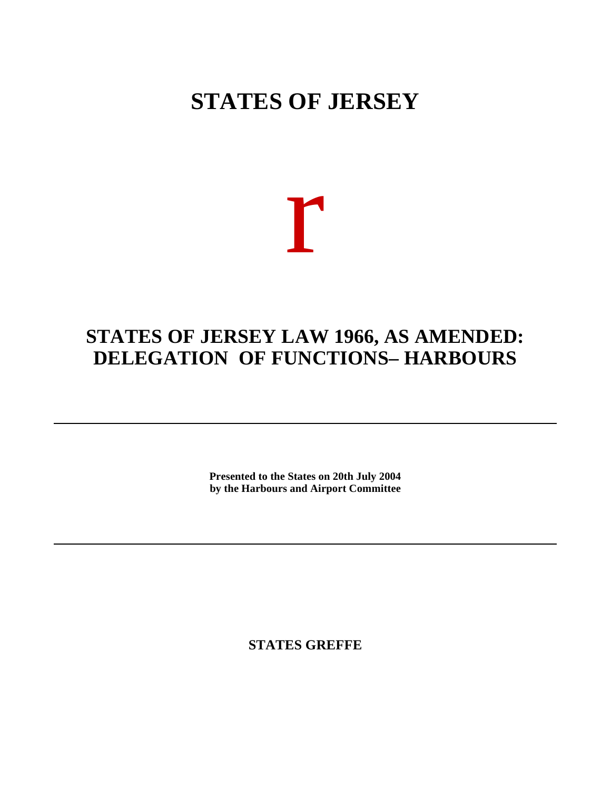## **STATES OF JERSEY**

# r

## **STATES OF JERSEY LAW 1966, AS AMENDED: DELEGATION OF FUNCTIONS– HARBOURS**

**Presented to the States on 20th July 2004 by the Harbours and Airport Committee**

**STATES GREFFE**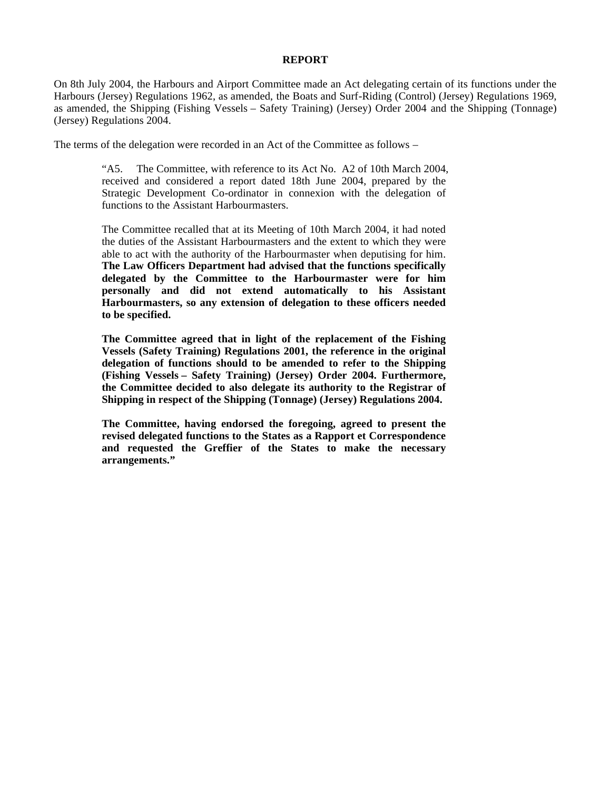### **REPORT**

On 8th July 2004, the Harbours and Airport Committee made an Act delegating certain of its functions under the Harbours (Jersey) Regulations 1962, as amended, the Boats and Surf-Riding (Control) (Jersey) Regulations 1969, as amended, the Shipping (Fishing Vessels – Safety Training) (Jersey) Order 2004 and the Shipping (Tonnage) (Jersey) Regulations 2004.

The terms of the delegation were recorded in an Act of the Committee as follows –

"A5. The Committee, with reference to its Act No. A2 of 10th March 2004, received and considered a report dated 18th June 2004, prepared by the Strategic Development Co-ordinator in connexion with the delegation of functions to the Assistant Harbourmasters.

The Committee recalled that at its Meeting of 10th March 2004, it had noted the duties of the Assistant Harbourmasters and the extent to which they were able to act with the authority of the Harbourmaster when deputising for him. **The Law Officers Department had advised that the functions specifically delegated by the Committee to the Harbourmaster were for him personally and did not extend automatically to his Assistant Harbourmasters, so any extension of delegation to these officers needed to be specified.**

**The Committee agreed that in light of the replacement of the Fishing Vessels (Safety Training) Regulations 2001, the reference in the original delegation of functions should to be amended to refer to the Shipping (Fishing Vessels – Safety Training) (Jersey) Order 2004. Furthermore, the Committee decided to also delegate its authority to the Registrar of Shipping in respect of the Shipping (Tonnage) (Jersey) Regulations 2004.**

**The Committee, having endorsed the foregoing, agreed to present the revised delegated functions to the States as a Rapport et Correspondence and requested the Greffier of the States to make the necessary arrangements."**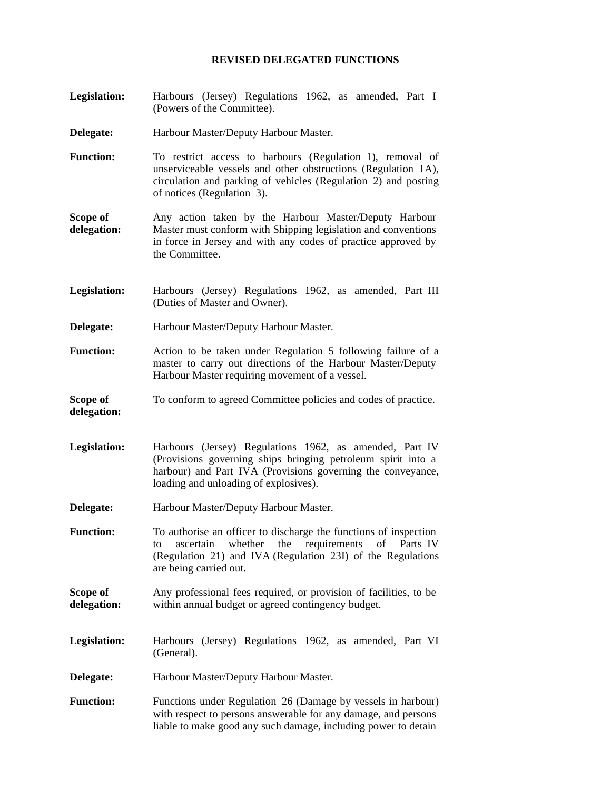### **REVISED DELEGATED FUNCTIONS**

- **Legislation:** Harbours (Jersey) Regulations 1962, as amended, Part I (Powers of the Committee).
- **Delegate:** Harbour Master/Deputy Harbour Master.
- **Function:** To restrict access to harbours (Regulation 1), removal of unserviceable vessels and other obstructions (Regulation 1A), circulation and parking of vehicles (Regulation 2) and posting of notices (Regulation 3).
- **Scope of delegation:** Any action taken by the Harbour Master/Deputy Harbour Master must conform with Shipping legislation and conventions in force in Jersey and with any codes of practice approved by the Committee.
- **Legislation:** Harbours (Jersey) Regulations 1962, as amended, Part III (Duties of Master and Owner).
- **Delegate:** Harbour Master/Deputy Harbour Master.
- **Function:** Action to be taken under Regulation 5 following failure of a master to carry out directions of the Harbour Master/Deputy Harbour Master requiring movement of a vessel.
- **Scope of delegation:** To conform to agreed Committee policies and codes of practice.
- **Legislation:** Harbours (Jersey) Regulations 1962, as amended, Part IV (Provisions governing ships bringing petroleum spirit into a harbour) and Part IVA (Provisions governing the conveyance, loading and unloading of explosives).
- **Delegate:** Harbour Master/Deputy Harbour Master.
- **Function:** To authorise an officer to discharge the functions of inspection to ascertain whether the requirements of Parts IV (Regulation 21) and IVA (Regulation 23I) of the Regulations are being carried out.
- **Scope of delegation:** Any professional fees required, or provision of facilities, to be within annual budget or agreed contingency budget.
- **Legislation:** Harbours (Jersey) Regulations 1962, as amended, Part VI (General).
- **Delegate:** Harbour Master/Deputy Harbour Master.
- Function: Functions under Regulation 26 (Damage by vessels in harbour) with respect to persons answerable for any damage, and persons liable to make good any such damage, including power to detain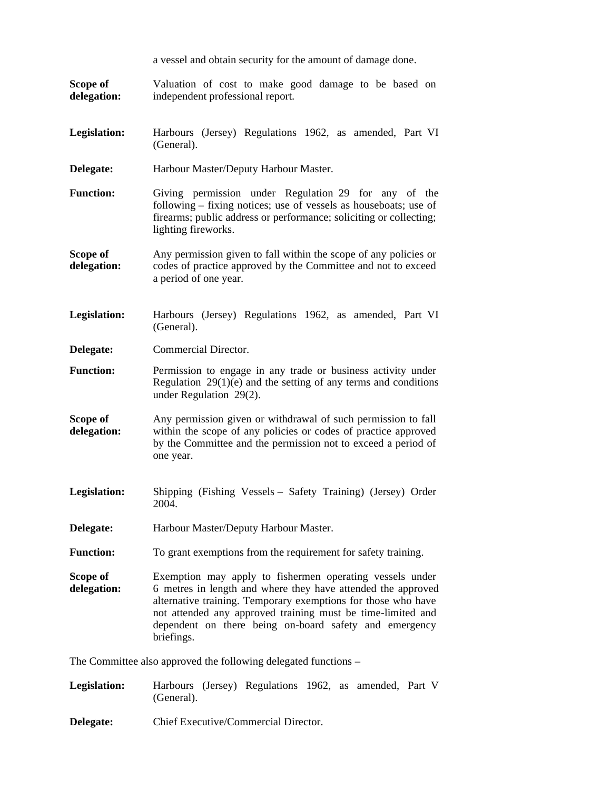|                         | a vessel and obtain security for the amount of damage done.                                                                                                                                                                                                                                                                      |
|-------------------------|----------------------------------------------------------------------------------------------------------------------------------------------------------------------------------------------------------------------------------------------------------------------------------------------------------------------------------|
| Scope of<br>delegation: | Valuation of cost to make good damage to be based on<br>independent professional report.                                                                                                                                                                                                                                         |
| Legislation:            | Harbours (Jersey) Regulations 1962, as amended, Part VI<br>(General).                                                                                                                                                                                                                                                            |
| Delegate:               | Harbour Master/Deputy Harbour Master.                                                                                                                                                                                                                                                                                            |
| <b>Function:</b>        | Giving permission under Regulation 29 for any of the<br>following – fixing notices; use of vessels as houseboats; use of<br>firearms; public address or performance; soliciting or collecting;<br>lighting fireworks.                                                                                                            |
| Scope of<br>delegation: | Any permission given to fall within the scope of any policies or<br>codes of practice approved by the Committee and not to exceed<br>a period of one year.                                                                                                                                                                       |
| Legislation:            | Harbours (Jersey) Regulations 1962, as amended, Part VI<br>(General).                                                                                                                                                                                                                                                            |
| Delegate:               | Commercial Director.                                                                                                                                                                                                                                                                                                             |
| <b>Function:</b>        | Permission to engage in any trade or business activity under<br>Regulation $29(1)(e)$ and the setting of any terms and conditions<br>under Regulation 29(2).                                                                                                                                                                     |
| Scope of<br>delegation: | Any permission given or withdrawal of such permission to fall<br>within the scope of any policies or codes of practice approved<br>by the Committee and the permission not to exceed a period of<br>one year.                                                                                                                    |
| Legislation:            | Shipping (Fishing Vessels – Safety Training) (Jersey) Order<br>2004.                                                                                                                                                                                                                                                             |
| Delegate:               | Harbour Master/Deputy Harbour Master.                                                                                                                                                                                                                                                                                            |
| <b>Function:</b>        | To grant exemptions from the requirement for safety training.                                                                                                                                                                                                                                                                    |
| Scope of<br>delegation: | Exemption may apply to fishermen operating vessels under<br>6 metres in length and where they have attended the approved<br>alternative training. Temporary exemptions for those who have<br>not attended any approved training must be time-limited and<br>dependent on there being on-board safety and emergency<br>briefings. |
|                         | The Committee also approved the following delegated functions -                                                                                                                                                                                                                                                                  |
|                         | idations Usuboune (Issue) Descriptions 1000<br>$D_{out}$ V                                                                                                                                                                                                                                                                       |

**Legislation:** Harbours (Jersey) Regulations 1962, as amended, Part V (General).

**Delegate:** Chief Executive/Commercial Director.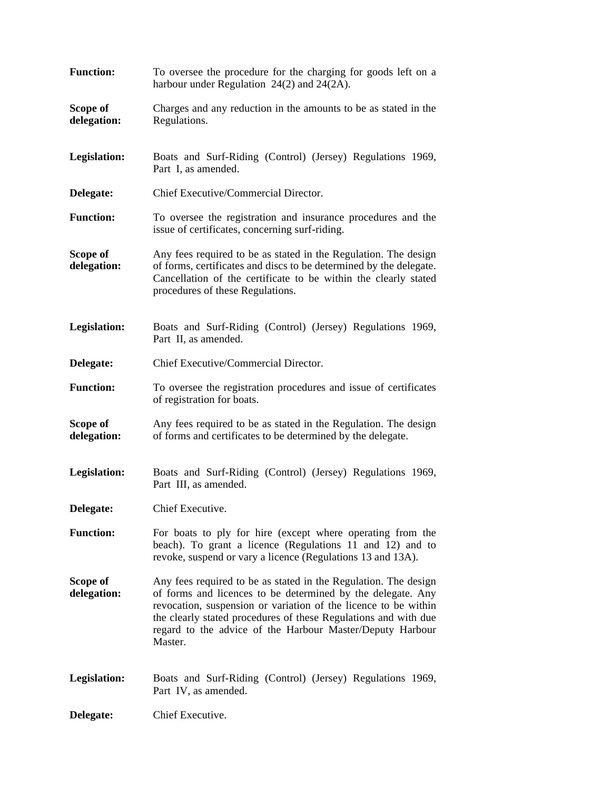| <b>Function:</b>        | To oversee the procedure for the charging for goods left on a<br>harbour under Regulation $24(2)$ and $24(2A)$ .                                                                                                                                                                                                                             |
|-------------------------|----------------------------------------------------------------------------------------------------------------------------------------------------------------------------------------------------------------------------------------------------------------------------------------------------------------------------------------------|
| Scope of<br>delegation: | Charges and any reduction in the amounts to be as stated in the<br>Regulations.                                                                                                                                                                                                                                                              |
| Legislation:            | Boats and Surf-Riding (Control) (Jersey) Regulations 1969,<br>Part I, as amended.                                                                                                                                                                                                                                                            |
| Delegate:               | Chief Executive/Commercial Director.                                                                                                                                                                                                                                                                                                         |
| <b>Function:</b>        | To oversee the registration and insurance procedures and the<br>issue of certificates, concerning surf-riding.                                                                                                                                                                                                                               |
| Scope of<br>delegation: | Any fees required to be as stated in the Regulation. The design<br>of forms, certificates and discs to be determined by the delegate.<br>Cancellation of the certificate to be within the clearly stated<br>procedures of these Regulations.                                                                                                 |
| Legislation:            | Boats and Surf-Riding (Control) (Jersey) Regulations 1969,<br>Part II, as amended.                                                                                                                                                                                                                                                           |
| Delegate:               | Chief Executive/Commercial Director.                                                                                                                                                                                                                                                                                                         |
| <b>Function:</b>        | To oversee the registration procedures and issue of certificates<br>of registration for boats.                                                                                                                                                                                                                                               |
| Scope of<br>delegation: | Any fees required to be as stated in the Regulation. The design<br>of forms and certificates to be determined by the delegate.                                                                                                                                                                                                               |
| Legislation:            | Boats and Surf-Riding (Control) (Jersey) Regulations 1969,<br>Part III, as amended.                                                                                                                                                                                                                                                          |
| Delegate:               | Chief Executive.                                                                                                                                                                                                                                                                                                                             |
| <b>Function:</b>        | For boats to ply for hire (except where operating from the<br>beach). To grant a licence (Regulations 11 and 12) and to<br>revoke, suspend or vary a licence (Regulations 13 and 13A).                                                                                                                                                       |
| Scope of<br>delegation: | Any fees required to be as stated in the Regulation. The design<br>of forms and licences to be determined by the delegate. Any<br>revocation, suspension or variation of the licence to be within<br>the clearly stated procedures of these Regulations and with due<br>regard to the advice of the Harbour Master/Deputy Harbour<br>Master. |
| Legislation:            | Boats and Surf-Riding (Control) (Jersey) Regulations 1969,<br>Part IV, as amended.                                                                                                                                                                                                                                                           |
| Delegate:               | Chief Executive.                                                                                                                                                                                                                                                                                                                             |